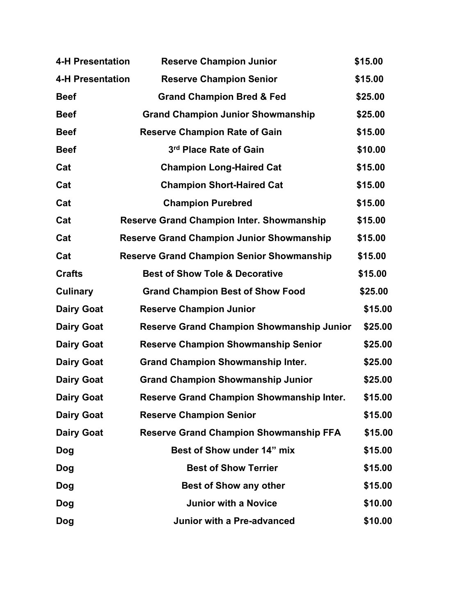| <b>4-H Presentation</b> | <b>Reserve Champion Junior</b>                   | \$15.00 |
|-------------------------|--------------------------------------------------|---------|
| <b>4-H Presentation</b> | <b>Reserve Champion Senior</b>                   | \$15.00 |
| <b>Beef</b>             | <b>Grand Champion Bred &amp; Fed</b>             | \$25.00 |
| <b>Beef</b>             | <b>Grand Champion Junior Showmanship</b>         | \$25.00 |
| <b>Beef</b>             | <b>Reserve Champion Rate of Gain</b>             | \$15.00 |
| <b>Beef</b>             | 3rd Place Rate of Gain                           | \$10.00 |
| Cat                     | <b>Champion Long-Haired Cat</b>                  | \$15.00 |
| Cat                     | <b>Champion Short-Haired Cat</b>                 | \$15.00 |
| Cat                     | <b>Champion Purebred</b>                         | \$15.00 |
| Cat                     | <b>Reserve Grand Champion Inter. Showmanship</b> | \$15.00 |
| Cat                     | <b>Reserve Grand Champion Junior Showmanship</b> | \$15.00 |
| Cat                     | <b>Reserve Grand Champion Senior Showmanship</b> | \$15.00 |
| <b>Crafts</b>           | <b>Best of Show Tole &amp; Decorative</b>        | \$15.00 |
| Culinary                | <b>Grand Champion Best of Show Food</b>          | \$25.00 |
| <b>Dairy Goat</b>       | <b>Reserve Champion Junior</b>                   | \$15.00 |
| <b>Dairy Goat</b>       | <b>Reserve Grand Champion Showmanship Junior</b> | \$25.00 |
| <b>Dairy Goat</b>       | <b>Reserve Champion Showmanship Senior</b>       | \$25.00 |
| <b>Dairy Goat</b>       | <b>Grand Champion Showmanship Inter.</b>         | \$25.00 |
| <b>Dairy Goat</b>       | <b>Grand Champion Showmanship Junior</b>         | \$25.00 |
| <b>Dairy Goat</b>       | <b>Reserve Grand Champion Showmanship Inter.</b> | \$15.00 |
| <b>Dairy Goat</b>       | <b>Reserve Champion Senior</b>                   | \$15.00 |
| <b>Dairy Goat</b>       | <b>Reserve Grand Champion Showmanship FFA</b>    | \$15.00 |
| Dog                     | Best of Show under 14" mix                       | \$15.00 |
| Dog                     | <b>Best of Show Terrier</b>                      | \$15.00 |
| Dog                     | <b>Best of Show any other</b>                    | \$15.00 |
| Dog                     | <b>Junior with a Novice</b>                      | \$10.00 |
| Dog                     | Junior with a Pre-advanced                       | \$10.00 |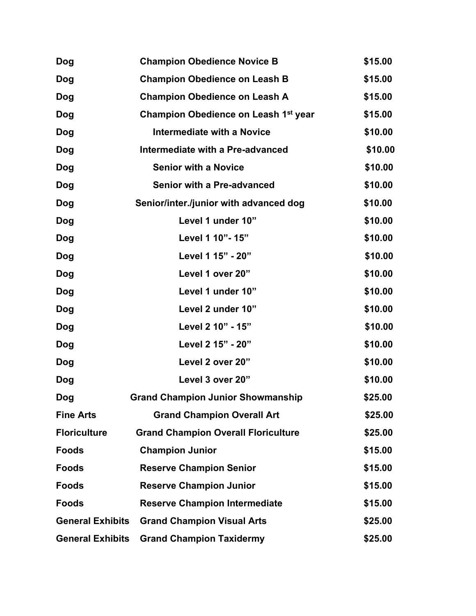| <b>Dog</b>              | <b>Champion Obedience Novice B</b>               | \$15.00 |
|-------------------------|--------------------------------------------------|---------|
| Dog                     | <b>Champion Obedience on Leash B</b>             | \$15.00 |
| <b>Dog</b>              | <b>Champion Obedience on Leash A</b>             | \$15.00 |
| Dog                     | Champion Obedience on Leash 1 <sup>st</sup> year | \$15.00 |
| <b>Dog</b>              | <b>Intermediate with a Novice</b>                | \$10.00 |
| <b>Dog</b>              | Intermediate with a Pre-advanced                 | \$10.00 |
| <b>Dog</b>              | <b>Senior with a Novice</b>                      | \$10.00 |
| <b>Dog</b>              | Senior with a Pre-advanced                       | \$10.00 |
| <b>Dog</b>              | Senior/inter./junior with advanced dog           | \$10.00 |
| <b>Dog</b>              | Level 1 under 10"                                | \$10.00 |
| <b>Dog</b>              | Level 1 10"- 15"                                 | \$10.00 |
| <b>Dog</b>              | Level 1 15" - 20"                                | \$10.00 |
| Dog                     | Level 1 over 20"                                 | \$10.00 |
| <b>Dog</b>              | Level 1 under 10"                                | \$10.00 |
| <b>Dog</b>              | Level 2 under 10"                                | \$10.00 |
| <b>Dog</b>              | Level 2 10" - 15"                                | \$10.00 |
| Dog                     | Level 2 15" - 20"                                | \$10.00 |
| Dog                     | Level 2 over 20"                                 | \$10.00 |
| Dog                     | Level 3 over 20"                                 | \$10.00 |
| <b>Dog</b>              | <b>Grand Champion Junior Showmanship</b>         | \$25.00 |
| <b>Fine Arts</b>        | <b>Grand Champion Overall Art</b>                | \$25.00 |
| <b>Floriculture</b>     | <b>Grand Champion Overall Floriculture</b>       | \$25.00 |
| <b>Foods</b>            | <b>Champion Junior</b>                           | \$15.00 |
| <b>Foods</b>            | <b>Reserve Champion Senior</b>                   | \$15.00 |
| <b>Foods</b>            | <b>Reserve Champion Junior</b>                   | \$15.00 |
| <b>Foods</b>            | <b>Reserve Champion Intermediate</b>             | \$15.00 |
| <b>General Exhibits</b> | <b>Grand Champion Visual Arts</b>                | \$25.00 |
| <b>General Exhibits</b> | <b>Grand Champion Taxidermy</b>                  | \$25.00 |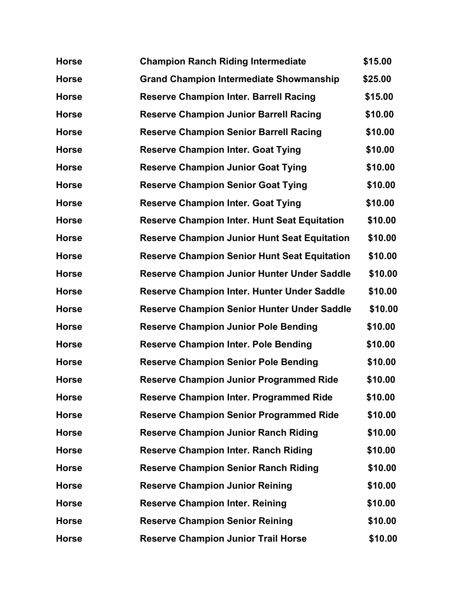| <b>Horse</b> | <b>Champion Ranch Riding Intermediate</b>           | \$15.00 |
|--------------|-----------------------------------------------------|---------|
| <b>Horse</b> | <b>Grand Champion Intermediate Showmanship</b>      | \$25.00 |
| <b>Horse</b> | <b>Reserve Champion Inter. Barrell Racing</b>       | \$15.00 |
| <b>Horse</b> | <b>Reserve Champion Junior Barrell Racing</b>       | \$10.00 |
| <b>Horse</b> | <b>Reserve Champion Senior Barrell Racing</b>       | \$10.00 |
| <b>Horse</b> | <b>Reserve Champion Inter. Goat Tying</b>           | \$10.00 |
| <b>Horse</b> | <b>Reserve Champion Junior Goat Tying</b>           | \$10.00 |
| <b>Horse</b> | <b>Reserve Champion Senior Goat Tying</b>           | \$10.00 |
| <b>Horse</b> | <b>Reserve Champion Inter. Goat Tying</b>           | \$10.00 |
| <b>Horse</b> | <b>Reserve Champion Inter. Hunt Seat Equitation</b> | \$10.00 |
| <b>Horse</b> | <b>Reserve Champion Junior Hunt Seat Equitation</b> | \$10.00 |
| <b>Horse</b> | <b>Reserve Champion Senior Hunt Seat Equitation</b> | \$10.00 |
| <b>Horse</b> | Reserve Champion Junior Hunter Under Saddle         | \$10.00 |
| <b>Horse</b> | Reserve Champion Inter. Hunter Under Saddle         | \$10.00 |
| <b>Horse</b> | <b>Reserve Champion Senior Hunter Under Saddle</b>  | \$10.00 |
| <b>Horse</b> | <b>Reserve Champion Junior Pole Bending</b>         | \$10.00 |
| <b>Horse</b> | <b>Reserve Champion Inter. Pole Bending</b>         | \$10.00 |
| <b>Horse</b> | <b>Reserve Champion Senior Pole Bending</b>         | \$10.00 |
| <b>Horse</b> | <b>Reserve Champion Junior Programmed Ride</b>      | \$10.00 |
| <b>Horse</b> | <b>Reserve Champion Inter. Programmed Ride</b>      | \$10.00 |
| <b>Horse</b> | <b>Reserve Champion Senior Programmed Ride</b>      | \$10.00 |
| <b>Horse</b> | <b>Reserve Champion Junior Ranch Riding</b>         | \$10.00 |
| <b>Horse</b> | <b>Reserve Champion Inter. Ranch Riding</b>         | \$10.00 |
| <b>Horse</b> | <b>Reserve Champion Senior Ranch Riding</b>         | \$10.00 |
| <b>Horse</b> | <b>Reserve Champion Junior Reining</b>              | \$10.00 |
| <b>Horse</b> | <b>Reserve Champion Inter. Reining</b>              | \$10.00 |
| <b>Horse</b> | <b>Reserve Champion Senior Reining</b>              | \$10.00 |
| <b>Horse</b> | <b>Reserve Champion Junior Trail Horse</b>          | \$10.00 |
|              |                                                     |         |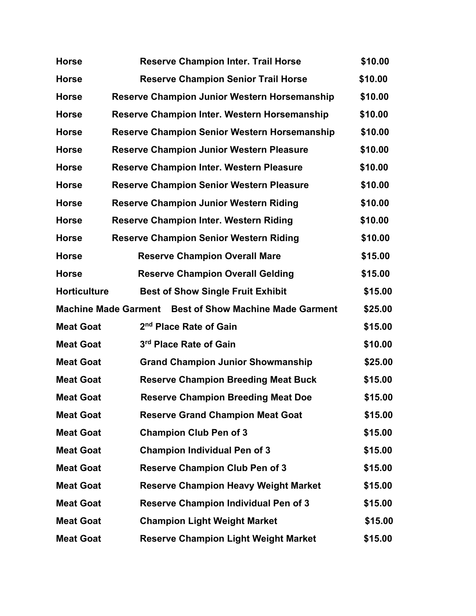| <b>Horse</b>                | <b>Reserve Champion Inter. Trail Horse</b>          | \$10.00 |
|-----------------------------|-----------------------------------------------------|---------|
| <b>Horse</b>                | <b>Reserve Champion Senior Trail Horse</b>          | \$10.00 |
| <b>Horse</b>                | <b>Reserve Champion Junior Western Horsemanship</b> | \$10.00 |
| <b>Horse</b>                | <b>Reserve Champion Inter. Western Horsemanship</b> | \$10.00 |
| <b>Horse</b>                | Reserve Champion Senior Western Horsemanship        | \$10.00 |
| <b>Horse</b>                | <b>Reserve Champion Junior Western Pleasure</b>     | \$10.00 |
| <b>Horse</b>                | <b>Reserve Champion Inter. Western Pleasure</b>     | \$10.00 |
| <b>Horse</b>                | <b>Reserve Champion Senior Western Pleasure</b>     | \$10.00 |
| <b>Horse</b>                | <b>Reserve Champion Junior Western Riding</b>       | \$10.00 |
| <b>Horse</b>                | <b>Reserve Champion Inter. Western Riding</b>       | \$10.00 |
| <b>Horse</b>                | <b>Reserve Champion Senior Western Riding</b>       | \$10.00 |
| <b>Horse</b>                | <b>Reserve Champion Overall Mare</b>                | \$15.00 |
| <b>Horse</b>                | <b>Reserve Champion Overall Gelding</b>             | \$15.00 |
| <b>Horticulture</b>         | <b>Best of Show Single Fruit Exhibit</b>            | \$15.00 |
| <b>Machine Made Garment</b> | <b>Best of Show Machine Made Garment</b>            | \$25.00 |
| <b>Meat Goat</b>            | 2 <sup>nd</sup> Place Rate of Gain                  | \$15.00 |
| <b>Meat Goat</b>            | 3rd Place Rate of Gain                              | \$10.00 |
| <b>Meat Goat</b>            | <b>Grand Champion Junior Showmanship</b>            | \$25.00 |
| <b>Meat Goat</b>            | <b>Reserve Champion Breeding Meat Buck</b>          | \$15.00 |
| <b>Meat Goat</b>            | <b>Reserve Champion Breeding Meat Doe</b>           | \$15.00 |
| <b>Meat Goat</b>            | <b>Reserve Grand Champion Meat Goat</b>             | \$15.00 |
| <b>Meat Goat</b>            | <b>Champion Club Pen of 3</b>                       | \$15.00 |
| <b>Meat Goat</b>            | <b>Champion Individual Pen of 3</b>                 | \$15.00 |
| <b>Meat Goat</b>            | <b>Reserve Champion Club Pen of 3</b>               | \$15.00 |
| <b>Meat Goat</b>            | <b>Reserve Champion Heavy Weight Market</b>         | \$15.00 |
| <b>Meat Goat</b>            | <b>Reserve Champion Individual Pen of 3</b>         | \$15.00 |
| <b>Meat Goat</b>            | <b>Champion Light Weight Market</b>                 | \$15.00 |
| <b>Meat Goat</b>            | <b>Reserve Champion Light Weight Market</b>         | \$15.00 |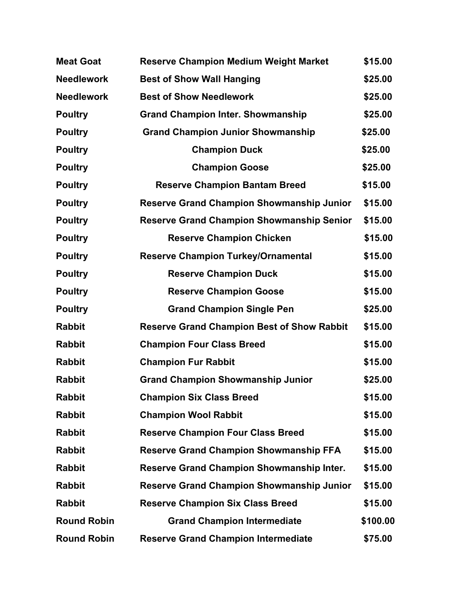| <b>Meat Goat</b>   | <b>Reserve Champion Medium Weight Market</b>      | \$15.00  |
|--------------------|---------------------------------------------------|----------|
| <b>Needlework</b>  | <b>Best of Show Wall Hanging</b>                  | \$25.00  |
| <b>Needlework</b>  | <b>Best of Show Needlework</b>                    | \$25.00  |
| <b>Poultry</b>     | <b>Grand Champion Inter. Showmanship</b>          | \$25.00  |
| <b>Poultry</b>     | <b>Grand Champion Junior Showmanship</b>          | \$25.00  |
| <b>Poultry</b>     | <b>Champion Duck</b>                              | \$25.00  |
| <b>Poultry</b>     | <b>Champion Goose</b>                             | \$25.00  |
| <b>Poultry</b>     | <b>Reserve Champion Bantam Breed</b>              | \$15.00  |
| <b>Poultry</b>     | <b>Reserve Grand Champion Showmanship Junior</b>  | \$15.00  |
| <b>Poultry</b>     | <b>Reserve Grand Champion Showmanship Senior</b>  | \$15.00  |
| <b>Poultry</b>     | <b>Reserve Champion Chicken</b>                   | \$15.00  |
| <b>Poultry</b>     | <b>Reserve Champion Turkey/Ornamental</b>         | \$15.00  |
| <b>Poultry</b>     | <b>Reserve Champion Duck</b>                      | \$15.00  |
| <b>Poultry</b>     | <b>Reserve Champion Goose</b>                     | \$15.00  |
| <b>Poultry</b>     | <b>Grand Champion Single Pen</b>                  | \$25.00  |
| <b>Rabbit</b>      | <b>Reserve Grand Champion Best of Show Rabbit</b> | \$15.00  |
| <b>Rabbit</b>      | <b>Champion Four Class Breed</b>                  | \$15.00  |
| <b>Rabbit</b>      | <b>Champion Fur Rabbit</b>                        | \$15.00  |
| <b>Rabbit</b>      | <b>Grand Champion Showmanship Junior</b>          | \$25.00  |
| <b>Rabbit</b>      | <b>Champion Six Class Breed</b>                   | \$15.00  |
| <b>Rabbit</b>      | <b>Champion Wool Rabbit</b>                       | \$15.00  |
| <b>Rabbit</b>      | <b>Reserve Champion Four Class Breed</b>          | \$15.00  |
| <b>Rabbit</b>      | <b>Reserve Grand Champion Showmanship FFA</b>     | \$15.00  |
| <b>Rabbit</b>      | <b>Reserve Grand Champion Showmanship Inter.</b>  | \$15.00  |
| <b>Rabbit</b>      | <b>Reserve Grand Champion Showmanship Junior</b>  | \$15.00  |
| <b>Rabbit</b>      | <b>Reserve Champion Six Class Breed</b>           | \$15.00  |
| <b>Round Robin</b> | <b>Grand Champion Intermediate</b>                | \$100.00 |
| <b>Round Robin</b> | <b>Reserve Grand Champion Intermediate</b>        | \$75.00  |